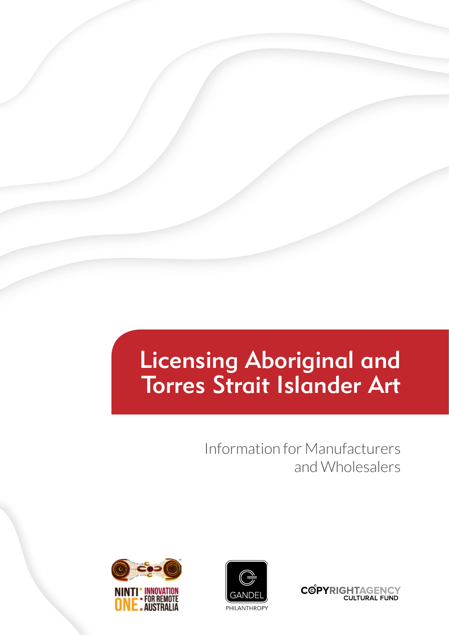# Licensing Aboriginal and Torres Strait Islander Art

Information for Manufacturers and Wholesalers





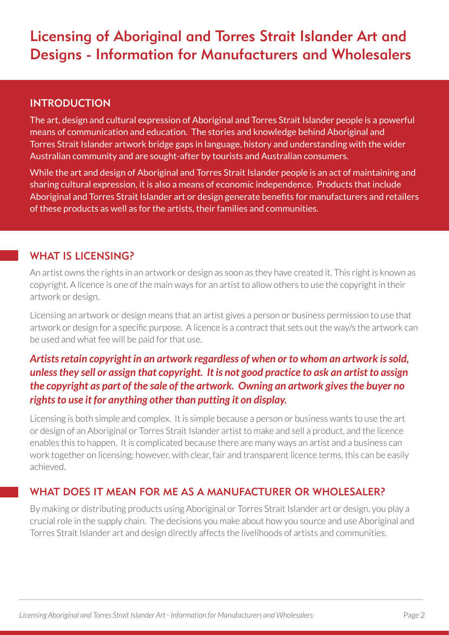# Licensing of Aboriginal and Torres Strait Islander Art and Designs - Information for Manufacturers and Wholesalers

#### INTRODUCTION

The art, design and cultural expression of Aboriginal and Torres Strait Islander people is a powerful means of communication and education. The stories and knowledge behind Aboriginal and Torres Strait Islander artwork bridge gaps in language, history and understanding with the wider Australian community and are sought-after by tourists and Australian consumers.

While the art and design of Aboriginal and Torres Strait Islander people is an act of maintaining and sharing cultural expression, it is also a means of economic independence. Products that include Aboriginal and Torres Strait Islander art or design generate benefits for manufacturers and retailers of these products as well as for the artists, their families and communities.

#### WHAT IS LICENSING?

An artist owns the rights in an artwork or design as soon as they have created it. This right is known as copyright. A licence is one of the main ways for an artist to allow others to use the copyright in their artwork or design.

Licensing an artwork or design means that an artist gives a person or business permission to use that artwork or design for a specific purpose. A licence is a contract that sets out the way/s the artwork can be used and what fee will be paid for that use.

# *Artists retain copyright in an artwork regardless of when or to whom an artwork is sold, unless they sell or assign that copyright. It is not good practice to ask an artist to assign the copyright as part of the sale of the artwork. Owning an artwork gives the buyer no rights to use it for anything other than putting it on display.*

Licensing is both simple and complex. It is simple because a person or business wants to use the art or design of an Aboriginal or Torres Strait Islander artist to make and sell a product, and the licence enables this to happen. It is complicated because there are many ways an artist and a business can work together on licensing; however, with clear, fair and transparent licence terms, this can be easily achieved.

# WHAT DOES IT MEAN FOR ME AS A MANUFACTURER OR WHOLESALER?

By making or distributing products using Aboriginal or Torres Strait Islander art or design, you play a crucial role in the supply chain. The decisions you make about how you source and use Aboriginal and Torres Strait Islander art and design directly affects the livelihoods of artists and communities.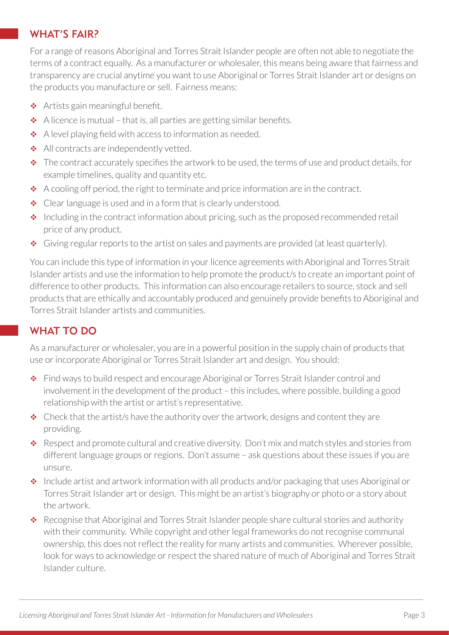#### WHAT'S FAIR?

For a range of reasons Aboriginal and Torres Strait Islander people are often not able to negotiate the terms of a contract equally. As a manufacturer or wholesaler, this means being aware that fairness and transparency are crucial anytime you want to use Aboriginal or Torres Strait Islander art or designs on the products you manufacture or sell. Fairness means:

- ◆ Artists gain meaningful benefit.
- $\triangle$  A licence is mutual that is, all parties are getting similar benefits.
- $\triangle$  A level playing field with access to information as needed.
- All contracts are independently vetted.
- $\bullet$  The contract accurately specifies the artwork to be used, the terms of use and product details, for example timelines, quality and quantity etc.
- A cooling off period, the right to terminate and price information are in the contract.
- Clear language is used and in a form that is clearly understood.
- $\cdot$  Including in the contract information about pricing, such as the proposed recommended retail price of any product.
- Giving regular reports to the artist on sales and payments are provided (at least quarterly).

You can include this type of information in your licence agreements with Aboriginal and Torres Strait Islander artists and use the information to help promote the product/s to create an important point of difference to other products. This information can also encourage retailers to source, stock and sell products that are ethically and accountably produced and genuinely provide benefits to Aboriginal and Torres Strait Islander artists and communities.

# WHAT TO DO

As a manufacturer or wholesaler, you are in a powerful position in the supply chain of products that use or incorporate Aboriginal or Torres Strait Islander art and design. You should:

- Find ways to build respect and encourage Aboriginal or Torres Strait Islander control and involvement in the development of the product – this includes, where possible, building a good relationship with the artist or artist's representative.
- $\triangle$  Check that the artist/s have the authority over the artwork, designs and content they are providing.
- \* Respect and promote cultural and creative diversity. Don't mix and match styles and stories from different language groups or regions. Don't assume – ask questions about these issues if you are unsure.
- ◆ Include artist and artwork information with all products and/or packaging that uses Aboriginal or Torres Strait Islander art or design. This might be an artist's biography or photo or a story about the artwork.
- Recognise that Aboriginal and Torres Strait Islander people share cultural stories and authority with their community. While copyright and other legal frameworks do not recognise communal ownership, this does not reflect the reality for many artists and communities. Wherever possible, look for ways to acknowledge or respect the shared nature of much of Aboriginal and Torres Strait Islander culture.